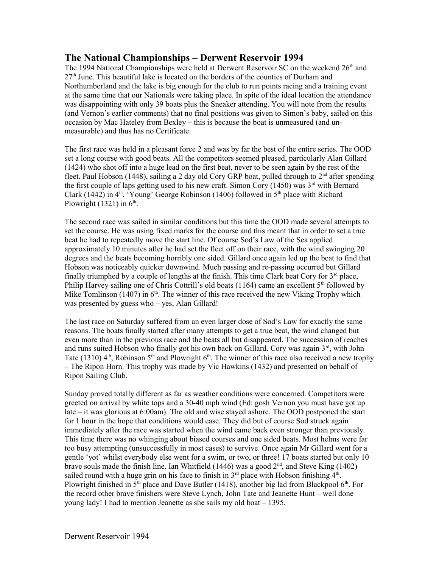## **The National Championships – Derwent Reservoir 1994**

The 1994 National Championships were held at Derwent Reservoir SC on the weekend 26<sup>th</sup> and 27th June. This beautiful lake is located on the borders of the counties of Durham and Northumberland and the lake is big enough for the club to run points racing and a training event at the same time that our Nationals were taking place. In spite of the ideal location the attendance was disappointing with only 39 boats plus the Sneaker attending. You will note from the results (and Vernon's earlier comments) that no final positions was given to Simon's baby, sailed on this occasion by Mac Hateley from Bexley – this is because the boat is unmeasured (and unmeasurable) and thus has no Certificate.

The first race was held in a pleasant force 2 and was by far the best of the entire series. The OOD set a long course with good beats. All the competitors seemed pleased, particularly Alan Gillard (1424) who shot off into a huge lead on the first beat, never to be seen again by the rest of the fleet. Paul Hobson (1448), sailing a 2 day old Cory GRP boat, pulled through to  $2<sup>nd</sup>$  after spending the first couple of laps getting used to his new craft. Simon Cory (1450) was  $3<sup>rd</sup>$  with Bernard Clark (1442) in  $4<sup>th</sup>$ . 'Young' George Robinson (1406) followed in  $5<sup>th</sup>$  place with Richard Plowright  $(1321)$  in  $6<sup>th</sup>$ .

The second race was sailed in similar conditions but this time the OOD made several attempts to set the course. He was using fixed marks for the course and this meant that in order to set a true beat he had to repeatedly move the start line. Of course Sod's Law of the Sea applied approximately 10 minutes after he had set the fleet off on their race, with the wind swinging 20 degrees and the beats becoming horribly one sided. Gillard once again led up the beat to find that Hobson was noticeably quicker downwind. Much passing and re-passing occurred but Gillard finally triumphed by a couple of lengths at the finish. This time Clark beat Cory for  $3<sup>rd</sup>$  place, Philip Harvey sailing one of Chris Cottrill's old boats (1164) came an excellent  $5<sup>th</sup>$  followed by Mike Tomlinson (1407) in  $6<sup>th</sup>$ . The winner of this race received the new Viking Trophy which was presented by guess who – yes, Alan Gillard!

The last race on Saturday suffered from an even larger dose of Sod's Law for exactly the same reasons. The boats finally started after many attempts to get a true beat, the wind changed but even more than in the previous race and the beats all but disappeared. The succession of reaches and runs suited Hobson who finally got his own back on Gillard. Cory was again  $3<sup>rd</sup>$ , with John Tate (1310)  $4<sup>th</sup>$ , Robinson 5<sup>th</sup> and Plowright 6<sup>th</sup>. The winner of this race also received a new trophy – The Ripon Horn. This trophy was made by Vic Hawkins (1432) and presented on behalf of Ripon Sailing Club.

Sunday proved totally different as far as weather conditions were concerned. Competitors were greeted on arrival by white tops and a 30-40 mph wind (Ed: gosh Vernon you must have got up late – it was glorious at 6:00am). The old and wise stayed ashore. The OOD postponed the start for 1 hour in the hope that conditions would ease. They did but of course Sod struck again immediately after the race was started when the wind came back even stronger than previously. This time there was no whinging about biased courses and one sided beats. Most helms were far too busy attempting (unsuccessfully in most cases) to survive. Once again Mr Gillard went for a gentle 'yot' whilst everybody else went for a swim, or two, or three! 17 boats started but only 10 brave souls made the finish line. Ian Whitfield (1446) was a good  $2<sup>nd</sup>$ , and Steve King (1402) sailed round with a huge grin on his face to finish in  $3<sup>rd</sup>$  place with Hobson finishing  $4<sup>th</sup>$ . Plowright finished in  $5<sup>th</sup>$  place and Dave Butler (1418), another big lad from Blackpool  $6<sup>th</sup>$ . For the record other brave finishers were Steve Lynch, John Tate and Jeanette Hunt – well done young lady! I had to mention Jeanette as she sails my old boat – 1395.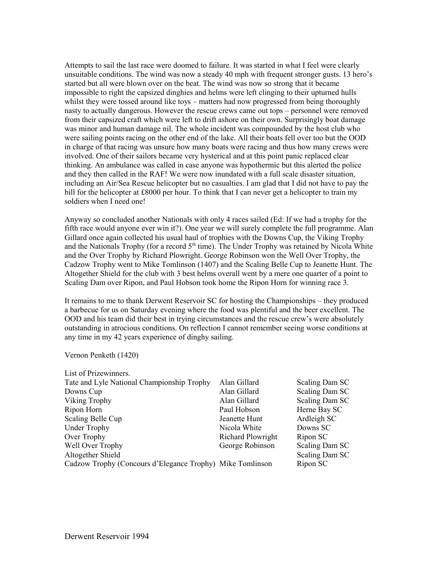Attempts to sail the last race were doomed to failure. It was started in what I feel were clearly unsuitable conditions. The wind was now a steady 40 mph with frequent stronger gusts. 13 hero's started but all were blown over on the beat. The wind was now so strong that it became impossible to right the capsized dinghies and helms were left clinging to their upturned hulls whilst they were tossed around like toys – matters had now progressed from being thoroughly nasty to actually dangerous. However the rescue crews came out tops – personnel were removed from their capsized craft which were left to drift ashore on their own. Surprisingly boat damage was minor and human damage nil. The whole incident was compounded by the host club who were sailing points racing on the other end of the lake. All their boats fell over too but the OOD in charge of that racing was unsure how many boats were racing and thus how many crews were involved. One of their sailors became very hysterical and at this point panic replaced clear thinking. An ambulance was called in case anyone was hypothermic but this alerted the police and they then called in the RAF! We were now inundated with a full scale disaster situation, including an Air/Sea Rescue helicopter but no casualties. I am glad that I did not have to pay the bill for the helicopter at £8000 per hour. To think that I can never get a helicopter to train my soldiers when I need one!

Anyway so concluded another Nationals with only 4 races sailed (Ed: If we had a trophy for the fifth race would anyone ever win it?). One year we will surely complete the full programme. Alan Gillard once again collected his usual haul of trophies with the Downs Cup, the Viking Trophy and the Nationals Trophy (for a record  $5<sup>th</sup>$  time). The Under Trophy was retained by Nicola White and the Over Trophy by Richard Plowright. George Robinson won the Well Over Trophy, the Cadzow Trophy went to Mike Tomlinson (1407) and the Scaling Belle Cup to Jeanette Hunt. The Altogether Shield for the club with 3 best helms overall went by a mere one quarter of a point to Scaling Dam over Ripon, and Paul Hobson took home the Ripon Horn for winning race 3.

It remains to me to thank Derwent Reservoir SC for hosting the Championships – they produced a barbecue for us on Saturday evening where the food was plentiful and the beer excellent. The OOD and his team did their best in trying circumstances and the rescue crew's were absolutely outstanding in atrocious conditions. On reflection I cannot remember seeing worse conditions at any time in my 42 years experience of dinghy sailing.

Vernon Penketh (1420)

| Alan Gillard                                              | Scaling Dam SC |
|-----------------------------------------------------------|----------------|
| Alan Gillard                                              | Scaling Dam SC |
| Alan Gillard                                              | Scaling Dam SC |
| Paul Hobson                                               | Herne Bay SC   |
| Jeanette Hunt                                             | Ardleigh SC    |
| Nicola White                                              | Downs SC       |
| Richard Plowright                                         | Ripon SC       |
| George Robinson                                           | Scaling Dam SC |
|                                                           | Scaling Dam SC |
| Cadzow Trophy (Concours d'Elegance Trophy) Mike Tomlinson | Ripon SC       |
|                                                           |                |